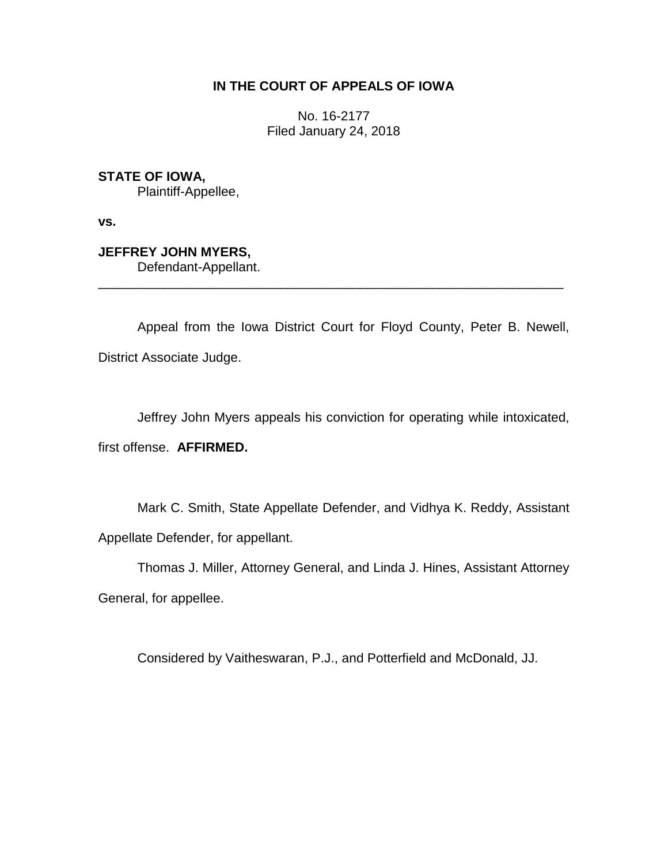## **IN THE COURT OF APPEALS OF IOWA**

No. 16-2177 Filed January 24, 2018

**STATE OF IOWA,** Plaintiff-Appellee,

**vs.**

**JEFFREY JOHN MYERS,** Defendant-Appellant.

Appeal from the Iowa District Court for Floyd County, Peter B. Newell, District Associate Judge.

\_\_\_\_\_\_\_\_\_\_\_\_\_\_\_\_\_\_\_\_\_\_\_\_\_\_\_\_\_\_\_\_\_\_\_\_\_\_\_\_\_\_\_\_\_\_\_\_\_\_\_\_\_\_\_\_\_\_\_\_\_\_\_\_

Jeffrey John Myers appeals his conviction for operating while intoxicated,

first offense. **AFFIRMED.**

Mark C. Smith, State Appellate Defender, and Vidhya K. Reddy, Assistant Appellate Defender, for appellant.

Thomas J. Miller, Attorney General, and Linda J. Hines, Assistant Attorney General, for appellee.

Considered by Vaitheswaran, P.J., and Potterfield and McDonald, JJ.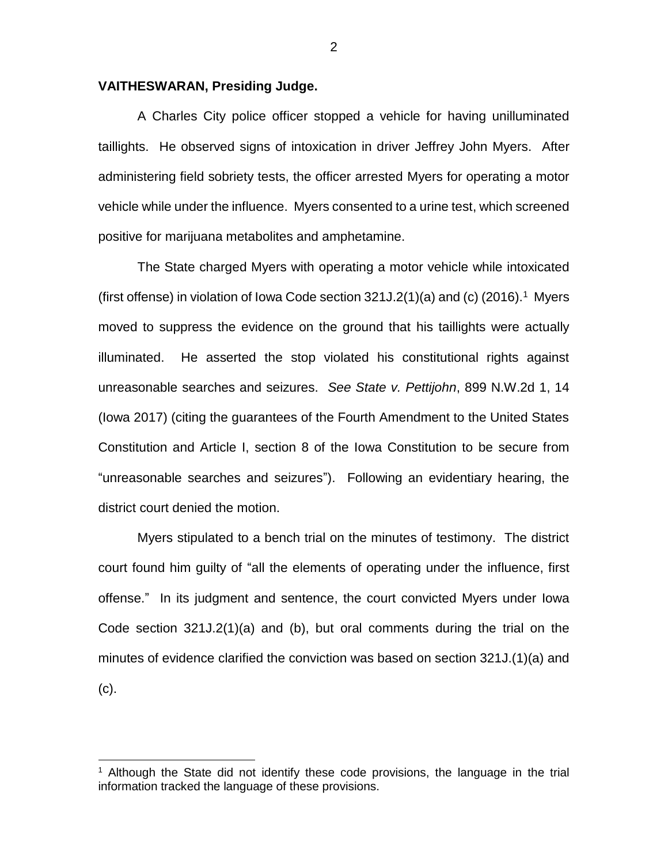## **VAITHESWARAN, Presiding Judge.**

A Charles City police officer stopped a vehicle for having unilluminated taillights. He observed signs of intoxication in driver Jeffrey John Myers. After administering field sobriety tests, the officer arrested Myers for operating a motor vehicle while under the influence. Myers consented to a urine test, which screened positive for marijuana metabolites and amphetamine.

The State charged Myers with operating a motor vehicle while intoxicated (first offense) in violation of Iowa Code section  $321J.2(1)(a)$  and (c)  $(2016).<sup>1</sup>$  Myers moved to suppress the evidence on the ground that his taillights were actually illuminated. He asserted the stop violated his constitutional rights against unreasonable searches and seizures. *See State v. Pettijohn*, 899 N.W.2d 1, 14 (Iowa 2017) (citing the guarantees of the Fourth Amendment to the United States Constitution and Article I, section 8 of the Iowa Constitution to be secure from "unreasonable searches and seizures"). Following an evidentiary hearing, the district court denied the motion.

Myers stipulated to a bench trial on the minutes of testimony. The district court found him guilty of "all the elements of operating under the influence, first offense." In its judgment and sentence, the court convicted Myers under Iowa Code section 321J.2(1)(a) and (b), but oral comments during the trial on the minutes of evidence clarified the conviction was based on section 321J.(1)(a) and (c).

 $\overline{a}$ 

 $1$  Although the State did not identify these code provisions, the language in the trial information tracked the language of these provisions.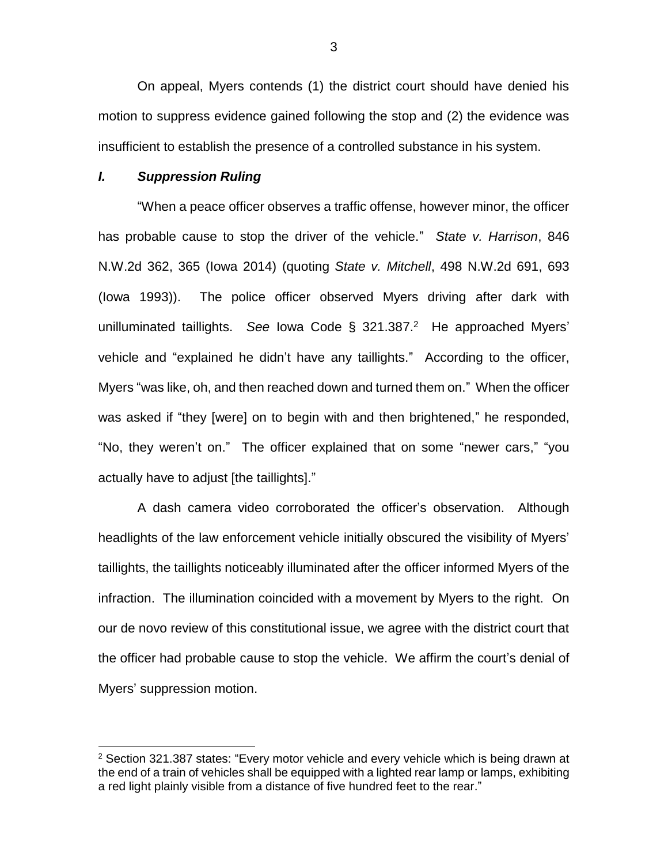On appeal, Myers contends (1) the district court should have denied his motion to suppress evidence gained following the stop and (2) the evidence was insufficient to establish the presence of a controlled substance in his system.

## *I. Suppression Ruling*

 $\overline{a}$ 

"When a peace officer observes a traffic offense, however minor, the officer has probable cause to stop the driver of the vehicle." *State v. Harrison*, 846 N.W.2d 362, 365 (Iowa 2014) (quoting *State v. Mitchell*, 498 N.W.2d 691, 693 (Iowa 1993)). The police officer observed Myers driving after dark with unilluminated taillights. *See* Iowa Code § 321.387. <sup>2</sup> He approached Myers' vehicle and "explained he didn't have any taillights." According to the officer, Myers "was like, oh, and then reached down and turned them on." When the officer was asked if "they [were] on to begin with and then brightened," he responded, "No, they weren't on." The officer explained that on some "newer cars," "you actually have to adjust [the taillights]."

A dash camera video corroborated the officer's observation. Although headlights of the law enforcement vehicle initially obscured the visibility of Myers' taillights, the taillights noticeably illuminated after the officer informed Myers of the infraction. The illumination coincided with a movement by Myers to the right. On our de novo review of this constitutional issue, we agree with the district court that the officer had probable cause to stop the vehicle. We affirm the court's denial of Myers' suppression motion.

3

 $2$  Section 321.387 states: "Every motor vehicle and every vehicle which is being drawn at the end of a train of vehicles shall be equipped with a lighted rear lamp or lamps, exhibiting a red light plainly visible from a distance of five hundred feet to the rear."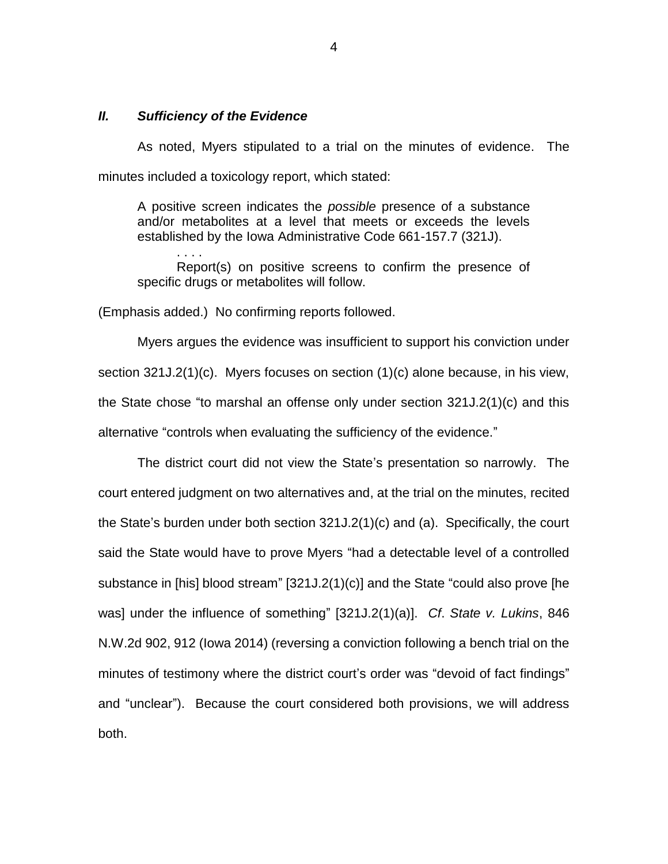## *II. Sufficiency of the Evidence*

. . . .

As noted, Myers stipulated to a trial on the minutes of evidence. The minutes included a toxicology report, which stated:

A positive screen indicates the *possible* presence of a substance and/or metabolites at a level that meets or exceeds the levels established by the Iowa Administrative Code 661-157.7 (321J).

Report(s) on positive screens to confirm the presence of specific drugs or metabolites will follow.

(Emphasis added.) No confirming reports followed.

Myers argues the evidence was insufficient to support his conviction under section 321J.2(1)(c). Myers focuses on section (1)(c) alone because, in his view, the State chose "to marshal an offense only under section 321J.2(1)(c) and this alternative "controls when evaluating the sufficiency of the evidence."

The district court did not view the State's presentation so narrowly. The court entered judgment on two alternatives and, at the trial on the minutes, recited the State's burden under both section 321J.2(1)(c) and (a). Specifically, the court said the State would have to prove Myers "had a detectable level of a controlled substance in [his] blood stream" [321J.2(1)(c)] and the State "could also prove [he was] under the influence of something" [321J.2(1)(a)]. *Cf*. *State v. Lukins*, 846 N.W.2d 902, 912 (Iowa 2014) (reversing a conviction following a bench trial on the minutes of testimony where the district court's order was "devoid of fact findings" and "unclear"). Because the court considered both provisions, we will address both.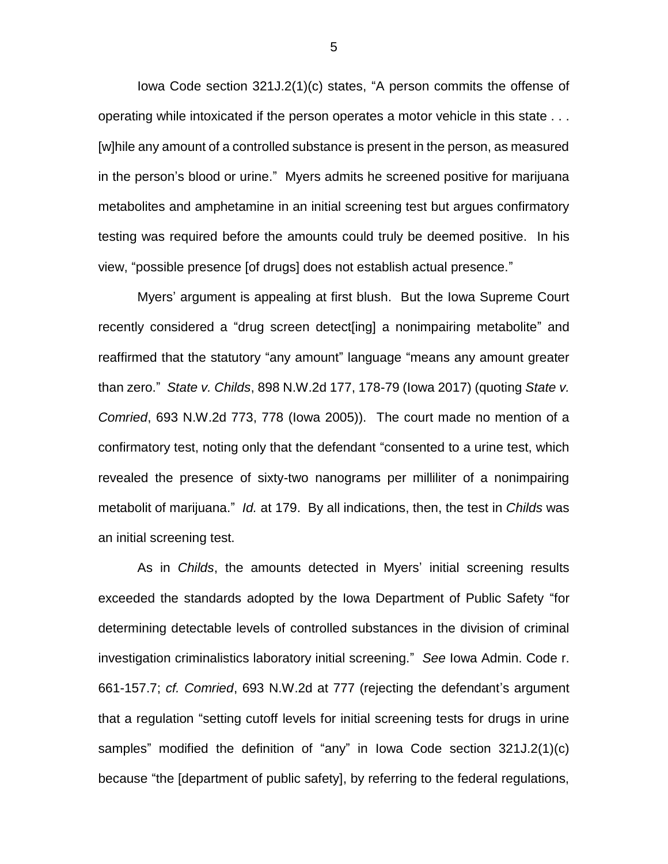Iowa Code section 321J.2(1)(c) states, "A person commits the offense of operating while intoxicated if the person operates a motor vehicle in this state . . . [w]hile any amount of a controlled substance is present in the person, as measured in the person's blood or urine." Myers admits he screened positive for marijuana metabolites and amphetamine in an initial screening test but argues confirmatory testing was required before the amounts could truly be deemed positive. In his view, "possible presence [of drugs] does not establish actual presence."

Myers' argument is appealing at first blush. But the Iowa Supreme Court recently considered a "drug screen detect[ing] a nonimpairing metabolite" and reaffirmed that the statutory "any amount" language "means any amount greater than zero." *State v. Childs*, 898 N.W.2d 177, 178-79 (Iowa 2017) (quoting *State v. Comried*, 693 N.W.2d 773, 778 (Iowa 2005)). The court made no mention of a confirmatory test, noting only that the defendant "consented to a urine test, which revealed the presence of sixty-two nanograms per milliliter of a nonimpairing metabolit of marijuana." *Id.* at 179. By all indications, then, the test in *Childs* was an initial screening test.

As in *Childs*, the amounts detected in Myers' initial screening results exceeded the standards adopted by the Iowa Department of Public Safety "for determining detectable levels of controlled substances in the division of criminal investigation criminalistics laboratory initial screening." *See* Iowa Admin. Code r. 661-157.7; *cf. Comried*, 693 N.W.2d at 777 (rejecting the defendant's argument that a regulation "setting cutoff levels for initial screening tests for drugs in urine samples" modified the definition of "any" in Iowa Code section 321J.2(1)(c) because "the [department of public safety], by referring to the federal regulations,

5